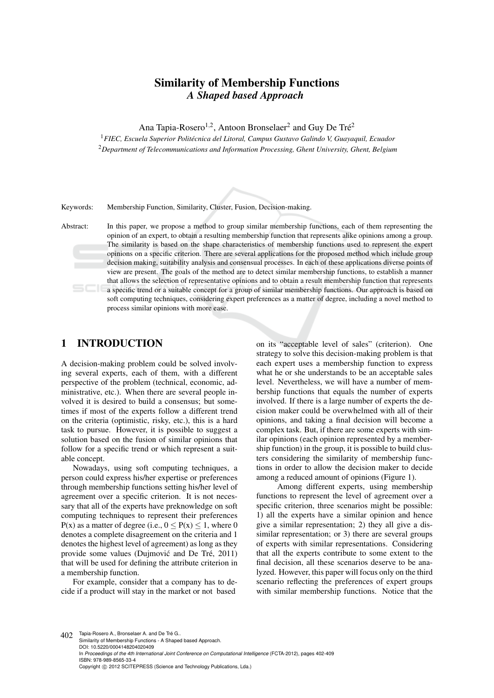# Similarity of Membership Functions *A Shaped based Approach*

Ana Tapia-Rosero<sup>1,2</sup>, Antoon Bronselaer<sup>2</sup> and Guy De Tré<sup>2</sup>

<sup>1</sup>*FIEC, Escuela Superior Politecnica del Litoral, Campus Gustavo Galindo V, Guayaquil, Ecuador ´* <sup>2</sup>*Department of Telecommunications and Information Processing, Ghent University, Ghent, Belgium*

Keywords: Membership Function, Similarity, Cluster, Fusion, Decision-making.

Abstract: In this paper, we propose a method to group similar membership functions, each of them representing the opinion of an expert, to obtain a resulting membership function that represents alike opinions among a group. The similarity is based on the shape characteristics of membership functions used to represent the expert opinions on a specific criterion. There are several applications for the proposed method which include group decision making, suitability analysis and consensual processes. In each of these applications diverse points of view are present. The goals of the method are to detect similar membership functions, to establish a manner that allows the selection of representative opinions and to obtain a result membership function that represents a specific trend or a suitable concept for a group of similar membership functions. Our approach is based on soft computing techniques, considering expert preferences as a matter of degree, including a novel method to process similar opinions with more ease.

# 1 INTRODUCTION

A decision-making problem could be solved involving several experts, each of them, with a different perspective of the problem (technical, economic, administrative, etc.). When there are several people involved it is desired to build a consensus; but sometimes if most of the experts follow a different trend on the criteria (optimistic, risky, etc.), this is a hard task to pursue. However, it is possible to suggest a solution based on the fusion of similar opinions that follow for a specific trend or which represent a suitable concept.

Nowadays, using soft computing techniques, a person could express his/her expertise or preferences through membership functions setting his/her level of agreement over a specific criterion. It is not necessary that all of the experts have preknowledge on soft computing techniques to represent their preferences  $P(x)$  as a matter of degree (i.e.,  $0 \le P(x) \le 1$ , where 0 denotes a complete disagreement on the criteria and 1 denotes the highest level of agreement) as long as they provide some values (Dujmović and De Tré, 2011) that will be used for defining the attribute criterion in a membership function.

For example, consider that a company has to decide if a product will stay in the market or not based

on its "acceptable level of sales" (criterion). One strategy to solve this decision-making problem is that each expert uses a membership function to express what he or she understands to be an acceptable sales level. Nevertheless, we will have a number of membership functions that equals the number of experts involved. If there is a large number of experts the decision maker could be overwhelmed with all of their opinions, and taking a final decision will become a complex task. But, if there are some experts with similar opinions (each opinion represented by a membership function) in the group, it is possible to build clusters considering the similarity of membership functions in order to allow the decision maker to decide among a reduced amount of opinions (Figure 1).

Among different experts, using membership functions to represent the level of agreement over a specific criterion, three scenarios might be possible: 1) all the experts have a similar opinion and hence give a similar representation; 2) they all give a dissimilar representation; or 3) there are several groups of experts with similar representations. Considering that all the experts contribute to some extent to the final decision, all these scenarios deserve to be analyzed. However, this paper will focus only on the third scenario reflecting the preferences of expert groups with similar membership functions. Notice that the

402 Tapia-Rosero A., Bronselaer A. and De Tré G.. Similarity of Membership Functions - A Shaped based Approach. DOI: 10.5220/0004148204020409 In *Proceedings of the 4th International Joint Conference on Computational Intelligence* (FCTA-2012), pages 402-409 ISBN: 978-989-8565-33-4 Copyright © 2012 SCITEPRESS (Science and Technology Publications, Lda.)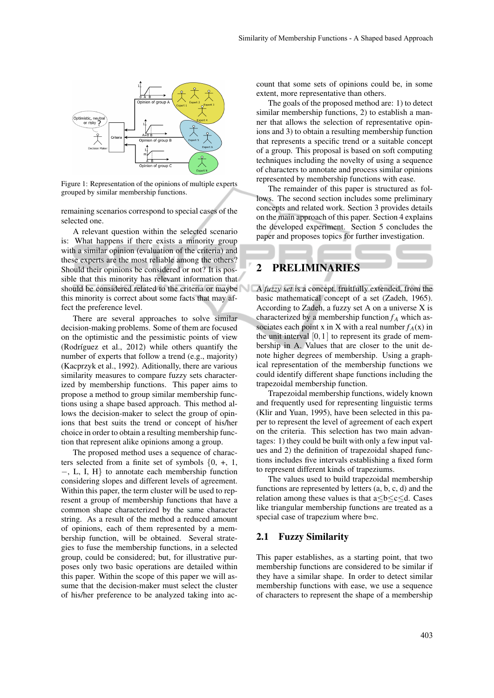

Figure 1: Representation of the opinions of multiple experts grouped by similar membership functions.

remaining scenarios correspond to special cases of the selected one.

A relevant question within the selected scenario is: What happens if there exists a minority group with a similar opinion (evaluation of the criteria) and these experts are the most reliable among the others? Should their opinions be considered or not? It is possible that this minority has relevant information that should be considered related to the criteria or maybe A *fuzzy set* is a concept, fruitfully extended, from the this minority is correct about some facts that may affect the preference level.

There are several approaches to solve similar decision-making problems. Some of them are focused on the optimistic and the pessimistic points of view (Rodríguez et al.,  $2012$ ) while others quantify the number of experts that follow a trend (e.g., majority) (Kacprzyk et al., 1992). Aditionally, there are various similarity measures to compare fuzzy sets characterized by membership functions. This paper aims to propose a method to group similar membership functions using a shape based approach. This method allows the decision-maker to select the group of opinions that best suits the trend or concept of his/her choice in order to obtain a resulting membership function that represent alike opinions among a group.

The proposed method uses a sequence of characters selected from a finite set of symbols  $\{0, +, 1, \}$ −, L, I, H} to annotate each membership function considering slopes and different levels of agreement. Within this paper, the term cluster will be used to represent a group of membership functions that have a common shape characterized by the same character string. As a result of the method a reduced amount of opinions, each of them represented by a membership function, will be obtained. Several strategies to fuse the membership functions, in a selected group, could be considered; but, for illustrative purposes only two basic operations are detailed within this paper. Within the scope of this paper we will assume that the decision-maker must select the cluster of his/her preference to be analyzed taking into account that some sets of opinions could be, in some extent, more representative than others.

The goals of the proposed method are: 1) to detect similar membership functions, 2) to establish a manner that allows the selection of representative opinions and 3) to obtain a resulting membership function that represents a specific trend or a suitable concept of a group. This proposal is based on soft computing techniques including the novelty of using a sequence of characters to annotate and process similar opinions represented by membership functions with ease.

The remainder of this paper is structured as follows. The second section includes some preliminary concepts and related work. Section 3 provides details on the main approach of this paper. Section 4 explains the developed experiment. Section 5 concludes the paper and proposes topics for further investigation.

# 2 PRELIMINARIES

basic mathematical concept of a set (Zadeh, 1965). According to Zadeh, a fuzzy set A on a universe X is characterized by a membership function  $f_A$  which associates each point x in X with a real number  $f_A(x)$  in the unit interval  $[0,1]$  to represent its grade of membership in A. Values that are closer to the unit denote higher degrees of membership. Using a graphical representation of the membership functions we could identify different shape functions including the trapezoidal membership function.

Trapezoidal membership functions, widely known and frequently used for representing linguistic terms (Klir and Yuan, 1995), have been selected in this paper to represent the level of agreement of each expert on the criteria. This selection has two main advantages: 1) they could be built with only a few input values and 2) the definition of trapezoidal shaped functions includes five intervals establishing a fixed form to represent different kinds of trapeziums.

The values used to build trapezoidal membership functions are represented by letters (a, b, c, d) and the relation among these values is that a≤b≤c≤d. Cases like triangular membership functions are treated as a special case of trapezium where b=c.

### 2.1 Fuzzy Similarity

This paper establishes, as a starting point, that two membership functions are considered to be similar if they have a similar shape. In order to detect similar membership functions with ease, we use a sequence of characters to represent the shape of a membership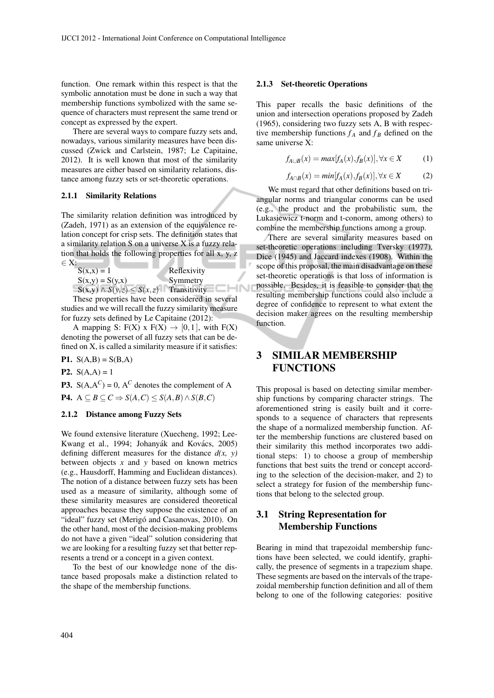function. One remark within this respect is that the symbolic annotation must be done in such a way that membership functions symbolized with the same sequence of characters must represent the same trend or concept as expressed by the expert.

There are several ways to compare fuzzy sets and, nowadays, various similarity measures have been discussed (Zwick and Carlstein, 1987; Le Capitaine, 2012). It is well known that most of the similarity measures are either based on similarity relations, distance among fuzzy sets or set-theoretic operations.

### 2.1.1 Similarity Relations

The similarity relation definition was introduced by (Zadeh, 1971) as an extension of the equivalence relation concept for crisp sets. The definition states that a similarity relation S on a universe X is a fuzzy relation that holds the following properties for all x, y, z ∈ X:

 $S(x,x) = 1$  Reflexivity  $S(x,y) = S(y,x)$  Symmetry  $S(x,y) \wedge S(y,z) \leq S(x,z)$  Transitivity

These properties have been considered in several studies and we will recall the fuzzy similarity measure for fuzzy sets defined by Le Capitaine (2012):

A mapping S:  $F(X) \times F(X) \rightarrow [0,1]$ , with  $F(X)$ denoting the powerset of all fuzzy sets that can be defined on X, is called a similarity measure if it satisfies:

P1.  $S(A,B) = S(B,A)$ 

**P2.**  $S(A,A) = 1$ 

**P3.**  $S(A, A^C) = 0$ ,  $A^C$  denotes the complement of A  $P4. A \subseteq B \subseteq C \Rightarrow S(A,C) \leq S(A,B) \land S(B,C)$ 

#### 2.1.2 Distance among Fuzzy Sets

We found extensive literature (Xuecheng, 1992; Lee-Kwang et al., 1994; Johanyák and Kovács, 2005) defining different measures for the distance  $d(x, y)$ between objects *x* and *y* based on known metrics (e.g., Hausdorff, Hamming and Euclidean distances). The notion of a distance between fuzzy sets has been used as a measure of similarity, although some of these similarity measures are considered theoretical approaches because they suppose the existence of an "ideal" fuzzy set (Merigó and Casanovas, 2010). On the other hand, most of the decision-making problems do not have a given "ideal" solution considering that we are looking for a resulting fuzzy set that better represents a trend or a concept in a given context.

To the best of our knowledge none of the distance based proposals make a distinction related to the shape of the membership functions.

#### 2.1.3 Set-theoretic Operations

This paper recalls the basic definitions of the union and intersection operations proposed by Zadeh (1965), considering two fuzzy sets A, B with respective membership functions  $f_A$  and  $f_B$  defined on the same universe X:

$$
f_{A\cup B}(x) = max[f_A(x), f_B(x)], \forall x \in X \tag{1}
$$

$$
f_{A \cap B}(x) = min[f_A(x), f_B(x)], \forall x \in X \tag{2}
$$

We must regard that other definitions based on triangular norms and triangular conorms can be used (e.g., the product and the probabilistic sum, the Lukasiewicz t-norm and t-conorm, among others) to combine the membership functions among a group.

There are several similarity measures based on set-theoretic operations including Tversky (1977), Dice (1945) and Jaccard indexes (1908). Within the scope of this proposal, the main disadvantage on these set-theoretic operations is that loss of information is possible. Besides, it is feasible to consider that the resulting membership functions could also include a degree of confidence to represent to what extent the decision maker agrees on the resulting membership function.

# 3 SIMILAR MEMBERSHIP **FUNCTIONS**

This proposal is based on detecting similar membership functions by comparing character strings. The aforementioned string is easily built and it corresponds to a sequence of characters that represents the shape of a normalized membership function. After the membership functions are clustered based on their similarity this method incorporates two additional steps: 1) to choose a group of membership functions that best suits the trend or concept according to the selection of the decision-maker, and 2) to select a strategy for fusion of the membership functions that belong to the selected group.

# 3.1 String Representation for Membership Functions

Bearing in mind that trapezoidal membership functions have been selected, we could identify, graphically, the presence of segments in a trapezium shape. These segments are based on the intervals of the trapezoidal membership function definition and all of them belong to one of the following categories: positive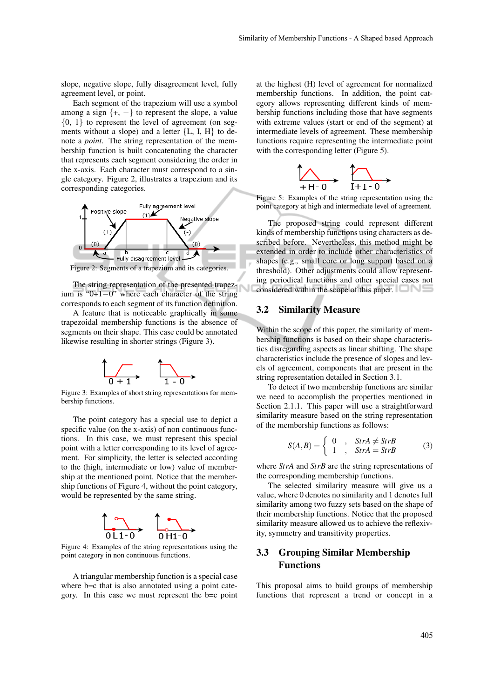slope, negative slope, fully disagreement level, fully agreement level, or point.

Each segment of the trapezium will use a symbol among a sign  $\{+, -\}$  to represent the slope, a value  ${0, 1}$  to represent the level of agreement (on segments without a slope) and a letter  ${L, I, H}$  to denote a *point*. The string representation of the membership function is built concatenating the character that represents each segment considering the order in the x-axis. Each character must correspond to a single category. Figure 2, illustrates a trapezium and its corresponding categories.



Figure 2: Segments of a trapezium and its categories.

The string representation of the presented trapezium is "0+1−0" where each character of the string corresponds to each segment of its function definition.

A feature that is noticeable graphically in some trapezoidal membership functions is the absence of segments on their shape. This case could be annotated likewise resulting in shorter strings (Figure 3).



Figure 3: Examples of short string representations for membership functions.

The point category has a special use to depict a specific value (on the x-axis) of non continuous functions. In this case, we must represent this special point with a letter corresponding to its level of agreement. For simplicity, the letter is selected according to the (high, intermediate or low) value of membership at the mentioned point. Notice that the membership functions of Figure 4, without the point category, would be represented by the same string.



Figure 4: Examples of the string representations using the point category in non continuous functions.

A triangular membership function is a special case where b=c that is also annotated using a point category. In this case we must represent the b=c point

at the highest (H) level of agreement for normalized membership functions. In addition, the point category allows representing different kinds of membership functions including those that have segments with extreme values (start or end of the segment) at intermediate levels of agreement. These membership functions require representing the intermediate point with the corresponding letter (Figure 5).



Figure 5: Examples of the string representation using the point category at high and intermediate level of agreement.

The proposed string could represent different kinds of membership functions using characters as described before. Nevertheless, this method might be extended in order to include other characteristics of shapes (e.g., small core or long support based on a threshold). Other adjustments could allow representing periodical functions and other special cases not considered within the scope of this paper.

## 3.2 Similarity Measure

Within the scope of this paper, the similarity of membership functions is based on their shape characteristics disregarding aspects as linear shifting. The shape characteristics include the presence of slopes and levels of agreement, components that are present in the string representation detailed in Section 3.1.

To detect if two membership functions are similar we need to accomplish the properties mentioned in Section 2.1.1. This paper will use a straightforward similarity measure based on the string representation of the membership functions as follows:

$$
S(A,B) = \begin{cases} 0, & \text{StrA} \neq \text{StrB} \\ 1, & \text{StrA} = \text{StrB} \end{cases} \tag{3}
$$

where *StrA* and *StrB* are the string representations of the corresponding membership functions.

The selected similarity measure will give us a value, where 0 denotes no similarity and 1 denotes full similarity among two fuzzy sets based on the shape of their membership functions. Notice that the proposed similarity measure allowed us to achieve the reflexivity, symmetry and transitivity properties.

## 3.3 Grouping Similar Membership Functions

This proposal aims to build groups of membership functions that represent a trend or concept in a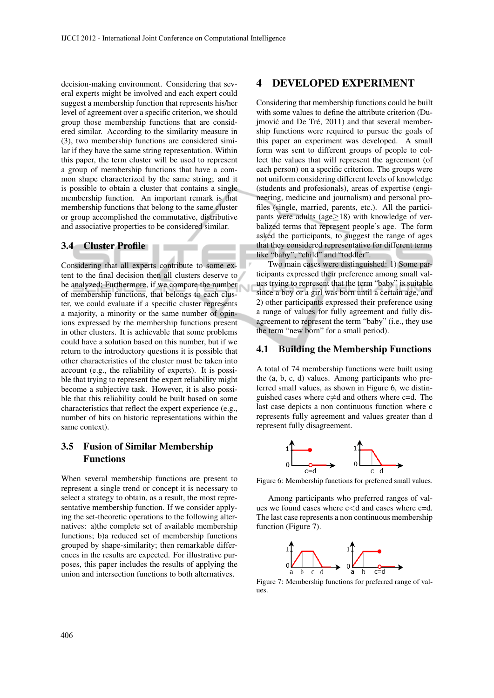decision-making environment. Considering that several experts might be involved and each expert could suggest a membership function that represents his/her level of agreement over a specific criterion, we should group those membership functions that are considered similar. According to the similarity measure in (3), two membership functions are considered similar if they have the same string representation. Within this paper, the term cluster will be used to represent a group of membership functions that have a common shape characterized by the same string; and it is possible to obtain a cluster that contains a single membership function. An important remark is that membership functions that belong to the same cluster or group accomplished the commutative, distributive and associative properties to be considered similar.

## 3.4 Cluster Profile

Considering that all experts contribute to some extent to the final decision then all clusters deserve to be analyzed; Furthermore, if we compare the number of membership functions, that belongs to each cluster, we could evaluate if a specific cluster represents a majority, a minority or the same number of opinions expressed by the membership functions present in other clusters. It is achievable that some problems could have a solution based on this number, but if we return to the introductory questions it is possible that other characteristics of the cluster must be taken into account (e.g., the reliability of experts). It is possible that trying to represent the expert reliability might become a subjective task. However, it is also possible that this reliability could be built based on some characteristics that reflect the expert experience (e.g., number of hits on historic representations within the same context).

## 3.5 Fusion of Similar Membership Functions

When several membership functions are present to represent a single trend or concept it is necessary to select a strategy to obtain, as a result, the most representative membership function. If we consider applying the set-theoretic operations to the following alternatives: a)the complete set of available membership functions; b)a reduced set of membership functions grouped by shape-similarity; then remarkable differences in the results are expected. For illustrative purposes, this paper includes the results of applying the union and intersection functions to both alternatives.

## 4 DEVELOPED EXPERIMENT

Considering that membership functions could be built with some values to define the attribute criterion (Dujmović and De Tré,  $2011$ ) and that several membership functions were required to pursue the goals of this paper an experiment was developed. A small form was sent to different groups of people to collect the values that will represent the agreement (of each person) on a specific criterion. The groups were not uniform considering different levels of knowledge (students and profesionals), areas of expertise (engineering, medicine and journalism) and personal profiles (single, married, parents, etc.). All the participants were adults (age≥18) with knowledge of verbalized terms that represent people's age. The form asked the participants, to suggest the range of ages that they considered representative for different terms like "baby", "child" and "toddler".

Two main cases were distinguished: 1) Some participants expressed their preference among small values trying to represent that the term "baby" is suitable since a boy or a girl was born until a certain age, and 2) other participants expressed their preference using a range of values for fully agreement and fully disagreement to represent the term "baby" (i.e., they use the term "new born" for a small period).

## 4.1 Building the Membership Functions

A total of 74 membership functions were built using the (a, b, c, d) values. Among participants who preferred small values, as shown in Figure 6, we distinguished cases where  $c \neq d$  and others where c=d. The last case depicts a non continuous function where c represents fully agreement and values greater than d represent fully disagreement.



Figure 6: Membership functions for preferred small values.

Among participants who preferred ranges of values we found cases where  $c < d$  and cases where  $c = d$ . The last case represents a non continuous membership function (Figure 7).



Figure 7: Membership functions for preferred range of values.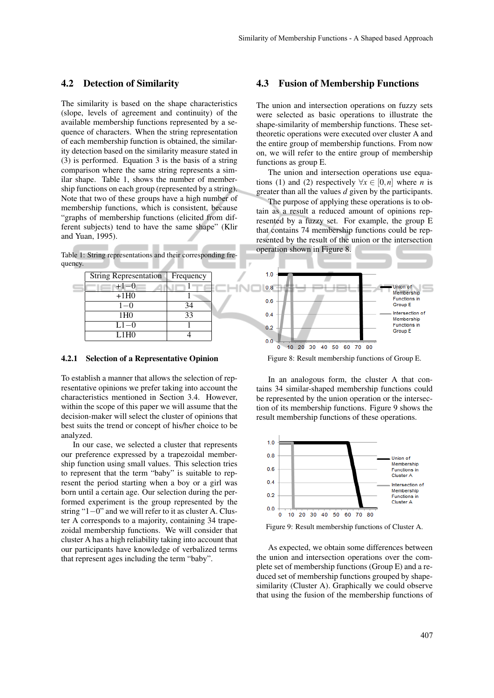## 4.2 Detection of Similarity

The similarity is based on the shape characteristics (slope, levels of agreement and continuity) of the available membership functions represented by a sequence of characters. When the string representation of each membership function is obtained, the similarity detection based on the similarity measure stated in (3) is performed. Equation 3 is the basis of a string comparison where the same string represents a similar shape. Table 1, shows the number of membership functions on each group (represented by a string). Note that two of these groups have a high number of membership functions, which is consistent, because "graphs of membership functions (elicited from different subjects) tend to have the same shape" (Klir and Yuan, 1995).

Table 1: String representations and their corresponding frequency.

| <b>String Representation</b> | Frequency |  |
|------------------------------|-----------|--|
| $+1-0$                       |           |  |
| $+1H0$                       |           |  |
| $1 - 0$                      | 34        |  |
| 1H <sub>0</sub>              | 33        |  |
| $L1-0$                       |           |  |
| L1H0                         |           |  |

10

#### 4.2.1 Selection of a Representative Opinion

To establish a manner that allows the selection of representative opinions we prefer taking into account the characteristics mentioned in Section 3.4. However, within the scope of this paper we will assume that the decision-maker will select the cluster of opinions that best suits the trend or concept of his/her choice to be analyzed.

In our case, we selected a cluster that represents our preference expressed by a trapezoidal membership function using small values. This selection tries to represent that the term "baby" is suitable to represent the period starting when a boy or a girl was born until a certain age. Our selection during the performed experiment is the group represented by the string "1−0" and we will refer to it as cluster A. Cluster A corresponds to a majority, containing 34 trapezoidal membership functions. We will consider that cluster A has a high reliability taking into account that our participants have knowledge of verbalized terms that represent ages including the term "baby".

## 4.3 Fusion of Membership Functions

The union and intersection operations on fuzzy sets were selected as basic operations to illustrate the shape-similarity of membership functions. These settheoretic operations were executed over cluster A and the entire group of membership functions. From now on, we will refer to the entire group of membership functions as group E.

The union and intersection operations use equations (1) and (2) respectively  $\forall x \in [0,n]$  where *n* is greater than all the values *d* given by the participants.

The purpose of applying these operations is to obtain as a result a reduced amount of opinions represented by a fuzzy set. For example, the group E that contains 74 membership functions could be represented by the result of the union or the intersection operation shown in Figure 8.



Figure 8: Result membership functions of Group E.

In an analogous form, the cluster A that contains 34 similar-shaped membership functions could be represented by the union operation or the intersection of its membership functions. Figure 9 shows the result membership functions of these operations.



Figure 9: Result membership functions of Cluster A.

As expected, we obtain some differences between the union and intersection operations over the complete set of membership functions (Group E) and a reduced set of membership functions grouped by shapesimilarity (Cluster A). Graphically we could observe that using the fusion of the membership functions of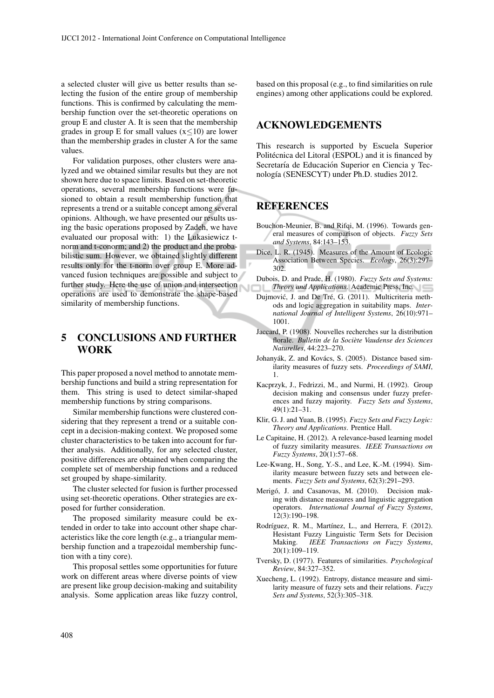a selected cluster will give us better results than selecting the fusion of the entire group of membership functions. This is confirmed by calculating the membership function over the set-theoretic operations on group E and cluster A. It is seen that the membership grades in group E for small values  $(x \le 10)$  are lower than the membership grades in cluster A for the same values.

For validation purposes, other clusters were analyzed and we obtained similar results but they are not shown here due to space limits. Based on set-theoretic operations, several membership functions were fusioned to obtain a result membership function that represents a trend or a suitable concept among several opinions. Although, we have presented our results using the basic operations proposed by Zadeh, we have evaluated our proposal with: 1) the Lukasiewicz tnorm and t-conorm; and 2) the product and the probabilistic sum. However, we obtained slightly different results only for the t-norm over group E. More advanced fusion techniques are possible and subject to further study. Here the use of union and intersection operations are used to demonstrate the shape-based similarity of membership functions.

# 5 CONCLUSIONS AND FURTHER WORK

This paper proposed a novel method to annotate membership functions and build a string representation for them. This string is used to detect similar-shaped membership functions by string comparisons.

Similar membership functions were clustered considering that they represent a trend or a suitable concept in a decision-making context. We proposed some cluster characteristics to be taken into account for further analysis. Additionally, for any selected cluster, positive differences are obtained when comparing the complete set of membership functions and a reduced set grouped by shape-similarity.

The cluster selected for fusion is further processed using set-theoretic operations. Other strategies are exposed for further consideration.

The proposed similarity measure could be extended in order to take into account other shape characteristics like the core length (e.g., a triangular membership function and a trapezoidal membership function with a tiny core).

This proposal settles some opportunities for future work on different areas where diverse points of view are present like group decision-making and suitability analysis. Some application areas like fuzzy control, based on this proposal (e.g., to find similarities on rule engines) among other applications could be explored.

## ACKNOWLEDGEMENTS

This research is supported by Escuela Superior Politécnica del Litoral (ESPOL) and it is financed by Secretaría de Educación Superior en Ciencia y Tecnología (SENESCYT) under Ph.D. studies 2012.

# **REFERENCES**

- Bouchon-Meunier, B. and Rifqi, M. (1996). Towards general measures of comparison of objects. *Fuzzy Sets and Systems*, 84:143–153.
- Dice, L. R. (1945). Measures of the Amount of Ecologic Association Between Species. *Ecology*, 26(3):297– 302.
- Dubois, D. and Prade, H. (1980). *Fuzzy Sets and Systems: Theory and Applications*. Academic Press, Inc.
- Dujmović, J. and De Tré, G. (2011). Multicriteria methods and logic aggregation in suitability maps. *International Journal of Intelligent Systems*, 26(10):971– 1001.
- Jaccard, P. (1908). Nouvelles recherches sur la distribution florale. *Bulletin de la Societe Vaudense des Sciences ` Naturelles*, 44:223–270.
- Johanyák, Z. and Kovács, S. (2005). Distance based similarity measures of fuzzy sets. *Proceedings of SAMI*, 1.
- Kacprzyk, J., Fedrizzi, M., and Nurmi, H. (1992). Group decision making and consensus under fuzzy preferences and fuzzy majority. *Fuzzy Sets and Systems*, 49(1):21–31.
- Klir, G. J. and Yuan, B. (1995). *Fuzzy Sets and Fuzzy Logic: Theory and Applications*. Prentice Hall.
- Le Capitaine, H. (2012). A relevance-based learning model of fuzzy similarity measures. *IEEE Transactions on Fuzzy Systems*, 20(1):57–68.
- Lee-Kwang, H., Song, Y.-S., and Lee, K.-M. (1994). Similarity measure between fuzzy sets and between elements. *Fuzzy Sets and Systems*, 62(3):291–293.
- Merigó, J. and Casanovas, M. (2010). Decision making with distance measures and linguistic aggregation operators. *International Journal of Fuzzy Systems*, 12(3):190–198.
- Rodríguez, R. M., Martínez, L., and Herrera, F. (2012). Hesistant Fuzzy Linguistic Term Sets for Decision Making. *IEEE Transactions on Fuzzy Systems*, 20(1):109–119.
- Tversky, D. (1977). Features of similarities. *Psychological Review*, 84:327–352.
- Xuecheng, L. (1992). Entropy, distance measure and similarity measure of fuzzy sets and their relations. *Fuzzy Sets and Systems*, 52(3):305–318.